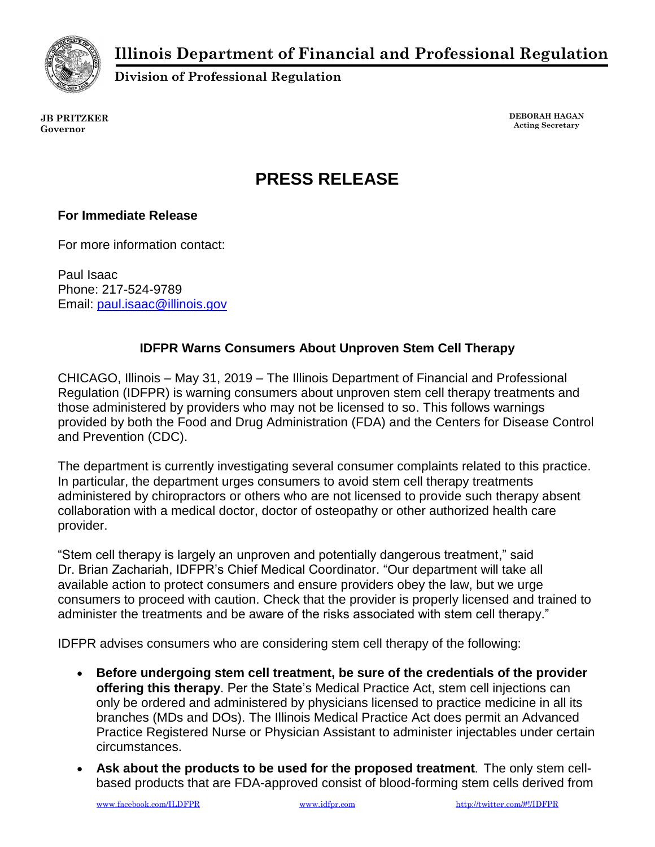**Illinois Department of Financial and Professional Regulation**



**Division of Professional Regulation**

**JB PRITZKER Governor**

**DEBORAH HAGAN Acting Secretary**

## **PRESS RELEASE**

## **For Immediate Release**

For more information contact:

Paul Isaac Phone: 217-524-9789 Email: [paul.isaac@illinois.gov](mailto:paul.isaac@illinois.gov)

## **IDFPR Warns Consumers About Unproven Stem Cell Therapy**

CHICAGO, Illinois – May 31, 2019 – The Illinois Department of Financial and Professional Regulation (IDFPR) is warning consumers about unproven stem cell therapy treatments and those administered by providers who may not be licensed to so. This follows warnings provided by both the Food and Drug Administration (FDA) and the Centers for Disease Control and Prevention (CDC).

The department is currently investigating several consumer complaints related to this practice. In particular, the department urges consumers to avoid stem cell therapy treatments administered by chiropractors or others who are not licensed to provide such therapy absent collaboration with a medical doctor, doctor of osteopathy or other authorized health care provider.

"Stem cell therapy is largely an unproven and potentially dangerous treatment," said Dr. Brian Zachariah, IDFPR's Chief Medical Coordinator. "Our department will take all available action to protect consumers and ensure providers obey the law, but we urge consumers to proceed with caution. Check that the provider is properly licensed and trained to administer the treatments and be aware of the risks associated with stem cell therapy."

IDFPR advises consumers who are considering stem cell therapy of the following:

- **Before undergoing stem cell treatment, be sure of the credentials of the provider offering this therapy**. Per the State's Medical Practice Act, stem cell injections can only be ordered and administered by physicians licensed to practice medicine in all its branches (MDs and DOs). The Illinois Medical Practice Act does permit an Advanced Practice Registered Nurse or Physician Assistant to administer injectables under certain circumstances.
- **Ask about the products to be used for the proposed treatment**. The only stem cellbased products that are FDA-approved consist of blood-forming stem cells derived from